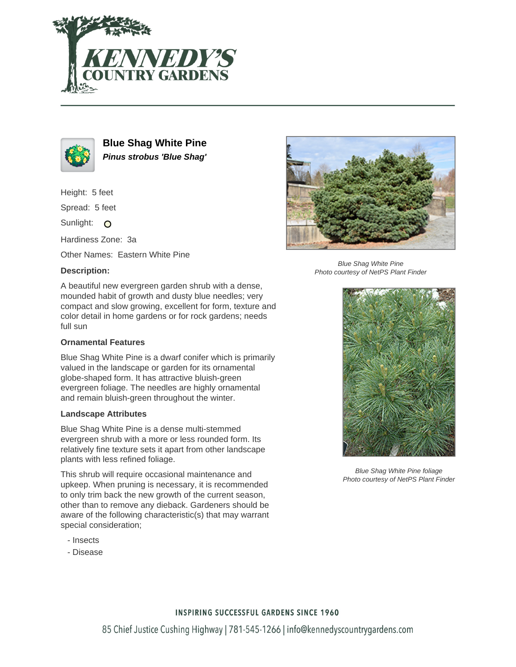



**Blue Shag White Pine Pinus strobus 'Blue Shag'**

Height: 5 feet

Spread: 5 feet

Sunlight: O

Hardiness Zone: 3a

Other Names: Eastern White Pine

## **Description:**

A beautiful new evergreen garden shrub with a dense, mounded habit of growth and dusty blue needles; very compact and slow growing, excellent for form, texture and color detail in home gardens or for rock gardens; needs full sun

## **Ornamental Features**

Blue Shag White Pine is a dwarf conifer which is primarily valued in the landscape or garden for its ornamental globe-shaped form. It has attractive bluish-green evergreen foliage. The needles are highly ornamental and remain bluish-green throughout the winter.

## **Landscape Attributes**

Blue Shag White Pine is a dense multi-stemmed evergreen shrub with a more or less rounded form. Its relatively fine texture sets it apart from other landscape plants with less refined foliage.

This shrub will require occasional maintenance and upkeep. When pruning is necessary, it is recommended to only trim back the new growth of the current season, other than to remove any dieback. Gardeners should be aware of the following characteristic(s) that may warrant special consideration;

- Insects
- Disease



Blue Shag White Pine Photo courtesy of NetPS Plant Finder



Blue Shag White Pine foliage Photo courtesy of NetPS Plant Finder